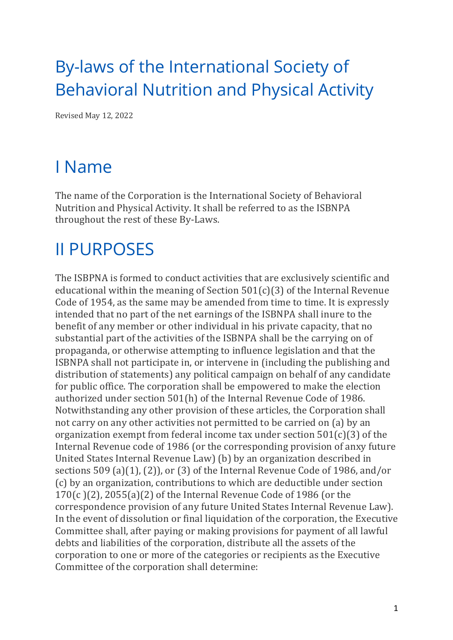# By-laws of the International Society of Behavioral Nutrition and Physical Activity

Revised May 12, 2022

# I Name

The name of the Corporation is the International Society of Behavioral Nutrition and Physical Activity. It shall be referred to as the ISBNPA throughout the rest of these By-Laws.

# II PURPOSES

The ISBPNA is formed to conduct activities that are exclusively scientific and educational within the meaning of Section  $501(c)(3)$  of the Internal Revenue Code of 1954, as the same may be amended from time to time. It is expressly intended that no part of the net earnings of the ISBNPA shall inure to the benefit of any member or other individual in his private capacity, that no substantial part of the activities of the ISBNPA shall be the carrying on of propaganda, or otherwise attempting to influence legislation and that the ISBNPA shall not participate in, or intervene in (including the publishing and distribution of statements) any political campaign on behalf of any candidate for public office. The corporation shall be empowered to make the election authorized under section 501(h) of the Internal Revenue Code of 1986. Notwithstanding any other provision of these articles, the Corporation shall not carry on any other activities not permitted to be carried on (a) by an organization exempt from federal income tax under section  $501(c)(3)$  of the Internal Revenue code of 1986 (or the corresponding provision of anxy future United States Internal Revenue Law) (b) by an organization described in sections  $509$  (a)(1), (2)), or (3) of the Internal Revenue Code of 1986, and/or (c) by an organization, contributions to which are deductible under section  $170(c)(2)$ ,  $2055(a)(2)$  of the Internal Revenue Code of 1986 (or the correspondence provision of any future United States Internal Revenue Law). In the event of dissolution or final liquidation of the corporation, the Executive Committee shall, after paying or making provisions for payment of all lawful debts and liabilities of the corporation, distribute all the assets of the corporation to one or more of the categories or recipients as the Executive Committee of the corporation shall determine: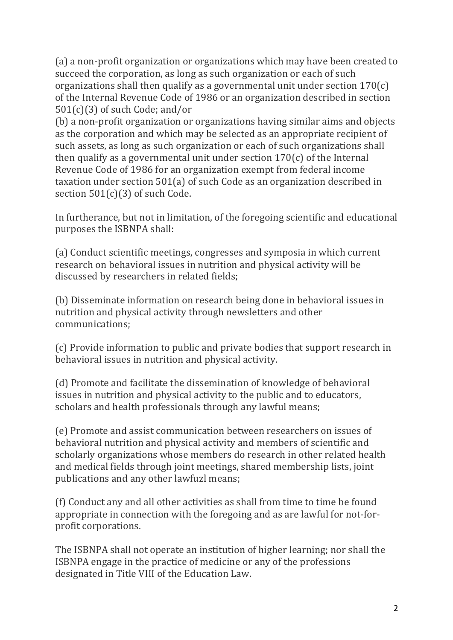(a) a non-profit organization or organizations which may have been created to succeed the corporation, as long as such organization or each of such organizations shall then qualify as a governmental unit under section  $170(c)$ of the Internal Revenue Code of 1986 or an organization described in section  $501(c)(3)$  of such Code; and/or

(b) a non-profit organization or organizations having similar aims and objects as the corporation and which may be selected as an appropriate recipient of such assets, as long as such organization or each of such organizations shall then qualify as a governmental unit under section  $170(c)$  of the Internal Revenue Code of 1986 for an organization exempt from federal income taxation under section  $501(a)$  of such Code as an organization described in section  $501(c)(3)$  of such Code.

In furtherance, but not in limitation, of the foregoing scientific and educational purposes the ISBNPA shall:

(a) Conduct scientific meetings, congresses and symposia in which current research on behavioral issues in nutrition and physical activity will be discussed by researchers in related fields;

(b) Disseminate information on research being done in behavioral issues in nutrition and physical activity through newsletters and other communications;

(c) Provide information to public and private bodies that support research in behavioral issues in nutrition and physical activity.

(d) Promote and facilitate the dissemination of knowledge of behavioral issues in nutrition and physical activity to the public and to educators, scholars and health professionals through any lawful means;

(e) Promote and assist communication between researchers on issues of behavioral nutrition and physical activity and members of scientific and scholarly organizations whose members do research in other related health and medical fields through joint meetings, shared membership lists, joint publications and any other lawfuzl means;

(f) Conduct any and all other activities as shall from time to time be found appropriate in connection with the foregoing and as are lawful for not-forprofit corporations.

The ISBNPA shall not operate an institution of higher learning; nor shall the ISBNPA engage in the practice of medicine or any of the professions designated in Title VIII of the Education Law.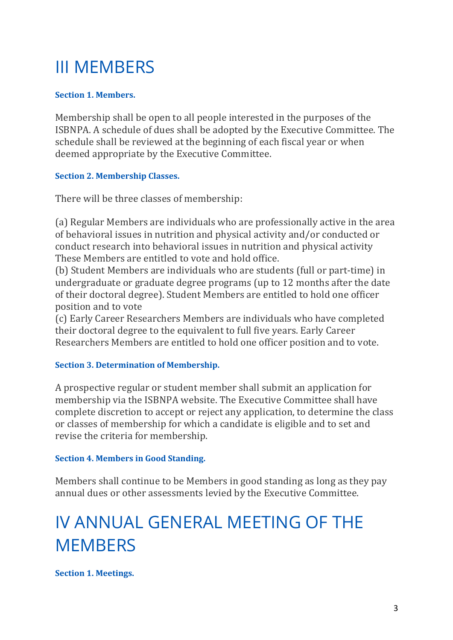# III MEMBERS

# **Section 1. Members.**

Membership shall be open to all people interested in the purposes of the ISBNPA. A schedule of dues shall be adopted by the Executive Committee. The schedule shall be reviewed at the beginning of each fiscal year or when deemed appropriate by the Executive Committee.

## **Section 2. Membership Classes.**

There will be three classes of membership:

(a) Regular Members are individuals who are professionally active in the area of behavioral issues in nutrition and physical activity and/or conducted or conduct research into behavioral issues in nutrition and physical activity These Members are entitled to vote and hold office.

(b) Student Members are individuals who are students (full or part-time) in undergraduate or graduate degree programs (up to 12 months after the date of their doctoral degree). Student Members are entitled to hold one officer position and to vote

(c) Early Career Researchers Members are individuals who have completed their doctoral degree to the equivalent to full five years. Early Career Researchers Members are entitled to hold one officer position and to vote.

## **Section 3. Determination of Membership.**

A prospective regular or student member shall submit an application for membership via the ISBNPA website. The Executive Committee shall have complete discretion to accept or reject any application, to determine the class or classes of membership for which a candidate is eligible and to set and revise the criteria for membership.

## **Section 4. Members in Good Standing.**

Members shall continue to be Members in good standing as long as they pay annual dues or other assessments levied by the Executive Committee.

# IV ANNUAL GENERAL MEETING OF THE **MEMBERS**

**Section 1. Meetings.**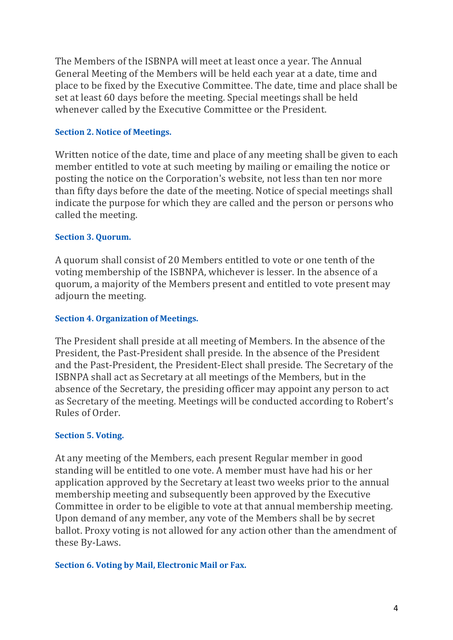The Members of the ISBNPA will meet at least once a year. The Annual General Meeting of the Members will be held each year at a date, time and place to be fixed by the Executive Committee. The date, time and place shall be set at least 60 days before the meeting. Special meetings shall be held whenever called by the Executive Committee or the President.

#### **Section 2. Notice of Meetings.**

Written notice of the date, time and place of any meeting shall be given to each member entitled to vote at such meeting by mailing or emailing the notice or posting the notice on the Corporation's website, not less than ten nor more than fifty days before the date of the meeting. Notice of special meetings shall indicate the purpose for which they are called and the person or persons who called the meeting.

#### **Section 3. Ouorum.**

A quorum shall consist of 20 Members entitled to vote or one tenth of the voting membership of the ISBNPA, whichever is lesser. In the absence of a quorum, a majority of the Members present and entitled to vote present may adjourn the meeting.

#### **Section 4. Organization of Meetings.**

The President shall preside at all meeting of Members. In the absence of the President, the Past-President shall preside. In the absence of the President and the Past-President, the President-Elect shall preside. The Secretary of the ISBNPA shall act as Secretary at all meetings of the Members, but in the absence of the Secretary, the presiding officer may appoint any person to act as Secretary of the meeting. Meetings will be conducted according to Robert's Rules of Order.

#### **Section 5. Voting.**

At any meeting of the Members, each present Regular member in good standing will be entitled to one vote. A member must have had his or her application approved by the Secretary at least two weeks prior to the annual membership meeting and subsequently been approved by the Executive Committee in order to be eligible to vote at that annual membership meeting. Upon demand of any member, any vote of the Members shall be by secret ballot. Proxy voting is not allowed for any action other than the amendment of these By-Laws.

#### **Section 6. Voting by Mail, Electronic Mail or Fax.**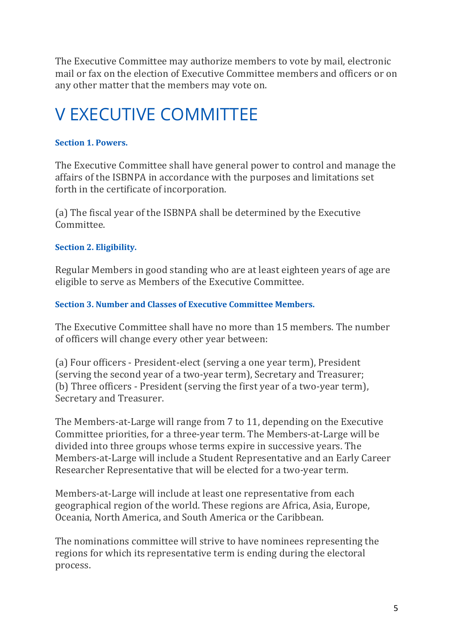The Executive Committee may authorize members to vote by mail, electronic mail or fax on the election of Executive Committee members and officers or on any other matter that the members may vote on.

# V EXECUTIVE COMMITTEE

# **Section 1. Powers.**

The Executive Committee shall have general power to control and manage the affairs of the ISBNPA in accordance with the purposes and limitations set forth in the certificate of incorporation.

(a) The fiscal year of the ISBNPA shall be determined by the Executive Committee.

# **Section 2. Eligibility.**

Regular Members in good standing who are at least eighteen years of age are eligible to serve as Members of the Executive Committee.

# **Section 3. Number and Classes of Executive Committee Members.**

The Executive Committee shall have no more than 15 members. The number of officers will change every other year between:

(a) Four officers - President-elect (serving a one year term), President (serving the second year of a two-year term), Secretary and Treasurer; (b) Three officers - President (serving the first year of a two-year term), Secretary and Treasurer.

The Members-at-Large will range from 7 to 11, depending on the Executive Committee priorities, for a three-year term. The Members-at-Large will be divided into three groups whose terms expire in successive years. The Members-at-Large will include a Student Representative and an Early Career Researcher Representative that will be elected for a two-year term.

Members-at-Large will include at least one representative from each geographical region of the world. These regions are Africa, Asia, Europe, Oceania, North America, and South America or the Caribbean.

The nominations committee will strive to have nominees representing the regions for which its representative term is ending during the electoral process.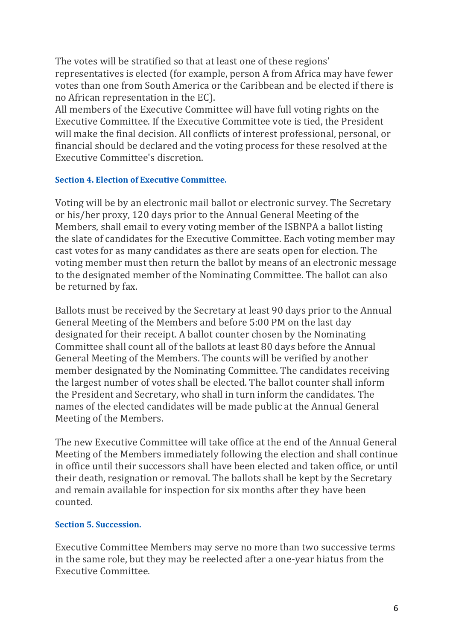The votes will be stratified so that at least one of these regions' representatives is elected (for example, person A from Africa may have fewer votes than one from South America or the Caribbean and be elected if there is no African representation in the EC).

All members of the Executive Committee will have full voting rights on the Executive Committee. If the Executive Committee vote is tied, the President will make the final decision. All conflicts of interest professional, personal, or financial should be declared and the voting process for these resolved at the Executive Committee's discretion.

#### **Section 4. Election of Executive Committee.**

Voting will be by an electronic mail ballot or electronic survey. The Secretary or his/her proxy, 120 days prior to the Annual General Meeting of the Members, shall email to every voting member of the ISBNPA a ballot listing the slate of candidates for the Executive Committee. Each voting member may cast votes for as many candidates as there are seats open for election. The voting member must then return the ballot by means of an electronic message to the designated member of the Nominating Committee. The ballot can also be returned by fax.

Ballots must be received by the Secretary at least 90 days prior to the Annual General Meeting of the Members and before 5:00 PM on the last day designated for their receipt. A ballot counter chosen by the Nominating Committee shall count all of the ballots at least 80 days before the Annual General Meeting of the Members. The counts will be verified by another member designated by the Nominating Committee. The candidates receiving the largest number of votes shall be elected. The ballot counter shall inform the President and Secretary, who shall in turn inform the candidates. The names of the elected candidates will be made public at the Annual General Meeting of the Members.

The new Executive Committee will take office at the end of the Annual General Meeting of the Members immediately following the election and shall continue in office until their successors shall have been elected and taken office, or until their death, resignation or removal. The ballots shall be kept by the Secretary and remain available for inspection for six months after they have been counted.

## **Section 5. Succession.**

Executive Committee Members may serve no more than two successive terms in the same role, but they may be reelected after a one-year hiatus from the Executive Committee.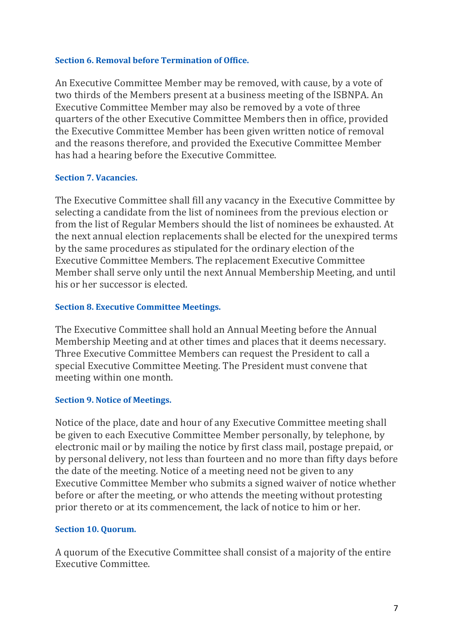#### **Section 6. Removal before Termination of Office.**

An Executive Committee Member may be removed, with cause, by a vote of two thirds of the Members present at a business meeting of the ISBNPA. An Executive Committee Member may also be removed by a vote of three quarters of the other Executive Committee Members then in office, provided the Executive Committee Member has been given written notice of removal and the reasons therefore, and provided the Executive Committee Member has had a hearing before the Executive Committee.

#### **Section 7. Vacancies.**

The Executive Committee shall fill any vacancy in the Executive Committee by selecting a candidate from the list of nominees from the previous election or from the list of Regular Members should the list of nominees be exhausted. At the next annual election replacements shall be elected for the unexpired terms by the same procedures as stipulated for the ordinary election of the Executive Committee Members. The replacement Executive Committee Member shall serve only until the next Annual Membership Meeting, and until his or her successor is elected.

#### **Section 8. Executive Committee Meetings.**

The Executive Committee shall hold an Annual Meeting before the Annual Membership Meeting and at other times and places that it deems necessary. Three Executive Committee Members can request the President to call a special Executive Committee Meeting. The President must convene that meeting within one month.

#### **Section 9. Notice of Meetings.**

Notice of the place, date and hour of any Executive Committee meeting shall be given to each Executive Committee Member personally, by telephone, by electronic mail or by mailing the notice by first class mail, postage prepaid, or by personal delivery, not less than fourteen and no more than fifty days before the date of the meeting. Notice of a meeting need not be given to any Executive Committee Member who submits a signed waiver of notice whether before or after the meeting, or who attends the meeting without protesting prior thereto or at its commencement, the lack of notice to him or her.

#### **Section 10. Quorum.**

A quorum of the Executive Committee shall consist of a majority of the entire Executive Committee.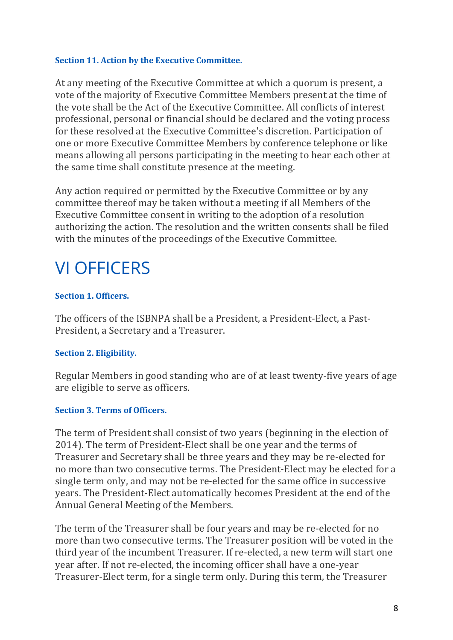#### **Section 11. Action by the Executive Committee.**

At any meeting of the Executive Committee at which a quorum is present, a vote of the majority of Executive Committee Members present at the time of the vote shall be the Act of the Executive Committee. All conflicts of interest professional, personal or financial should be declared and the voting process for these resolved at the Executive Committee's discretion. Participation of one or more Executive Committee Members by conference telephone or like means allowing all persons participating in the meeting to hear each other at the same time shall constitute presence at the meeting.

Any action required or permitted by the Executive Committee or by any committee thereof may be taken without a meeting if all Members of the Executive Committee consent in writing to the adoption of a resolution authorizing the action. The resolution and the written consents shall be filed with the minutes of the proceedings of the Executive Committee.

# VI OFFICERS

## **Section 1. Officers.**

The officers of the ISBNPA shall be a President, a President-Elect, a Past-President, a Secretary and a Treasurer.

## **Section 2. Eligibility.**

Regular Members in good standing who are of at least twenty-five years of age are eligible to serve as officers.

## **Section 3. Terms of Officers.**

The term of President shall consist of two years (beginning in the election of 2014). The term of President-Elect shall be one vear and the terms of Treasurer and Secretary shall be three years and they may be re-elected for no more than two consecutive terms. The President-Elect may be elected for a single term only, and may not be re-elected for the same office in successive years. The President-Elect automatically becomes President at the end of the Annual General Meeting of the Members.

The term of the Treasurer shall be four years and may be re-elected for no more than two consecutive terms. The Treasurer position will be voted in the third year of the incumbent Treasurer. If re-elected, a new term will start one year after. If not re-elected, the incoming officer shall have a one-year Treasurer-Elect term, for a single term only. During this term, the Treasurer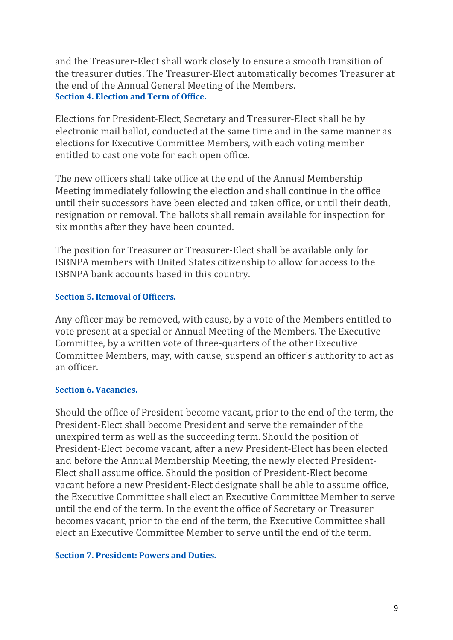and the Treasurer-Elect shall work closely to ensure a smooth transition of the treasurer duties. The Treasurer-Elect automatically becomes Treasurer at the end of the Annual General Meeting of the Members. **Section 4. Election and Term of Office.** 

Elections for President-Elect, Secretary and Treasurer-Elect shall be by electronic mail ballot, conducted at the same time and in the same manner as elections for Executive Committee Members, with each voting member entitled to cast one vote for each open office.

The new officers shall take office at the end of the Annual Membership Meeting immediately following the election and shall continue in the office until their successors have been elected and taken office, or until their death, resignation or removal. The ballots shall remain available for inspection for six months after they have been counted.

The position for Treasurer or Treasurer-Elect shall be available only for ISBNPA members with United States citizenship to allow for access to the ISBNPA bank accounts based in this country.

#### **Section 5. Removal of Officers.**

Any officer may be removed, with cause, by a vote of the Members entitled to vote present at a special or Annual Meeting of the Members. The Executive Committee, by a written vote of three-quarters of the other Executive Committee Members, may, with cause, suspend an officer's authority to act as an officer.

#### **Section 6. Vacancies.**

Should the office of President become vacant, prior to the end of the term, the President-Elect shall become President and serve the remainder of the unexpired term as well as the succeeding term. Should the position of President-Elect become vacant, after a new President-Elect has been elected and before the Annual Membership Meeting, the newly elected President-Elect shall assume office. Should the position of President-Elect become vacant before a new President-Elect designate shall be able to assume office, the Executive Committee shall elect an Executive Committee Member to serve until the end of the term. In the event the office of Secretary or Treasurer becomes vacant, prior to the end of the term, the Executive Committee shall elect an Executive Committee Member to serve until the end of the term.

#### **Section 7. President: Powers and Duties.**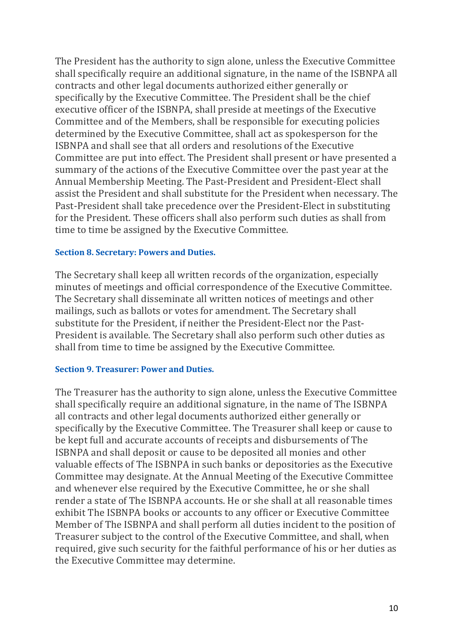The President has the authority to sign alone, unless the Executive Committee shall specifically require an additional signature, in the name of the ISBNPA all contracts and other legal documents authorized either generally or specifically by the Executive Committee. The President shall be the chief executive officer of the ISBNPA, shall preside at meetings of the Executive Committee and of the Members, shall be responsible for executing policies determined by the Executive Committee, shall act as spokesperson for the ISBNPA and shall see that all orders and resolutions of the Executive Committee are put into effect. The President shall present or have presented a summary of the actions of the Executive Committee over the past year at the Annual Membership Meeting. The Past-President and President-Elect shall assist the President and shall substitute for the President when necessary. The Past-President shall take precedence over the President-Elect in substituting for the President. These officers shall also perform such duties as shall from time to time be assigned by the Executive Committee.

#### **Section 8. Secretary: Powers and Duties.**

The Secretary shall keep all written records of the organization, especially minutes of meetings and official correspondence of the Executive Committee. The Secretary shall disseminate all written notices of meetings and other mailings, such as ballots or votes for amendment. The Secretary shall substitute for the President, if neither the President-Elect nor the Past-President is available. The Secretary shall also perform such other duties as shall from time to time be assigned by the Executive Committee.

#### **Section 9. Treasurer: Power and Duties.**

The Treasurer has the authority to sign alone, unless the Executive Committee shall specifically require an additional signature, in the name of The ISBNPA all contracts and other legal documents authorized either generally or specifically by the Executive Committee. The Treasurer shall keep or cause to be kept full and accurate accounts of receipts and disbursements of The ISBNPA and shall deposit or cause to be deposited all monies and other valuable effects of The ISBNPA in such banks or depositories as the Executive Committee may designate. At the Annual Meeting of the Executive Committee and whenever else required by the Executive Committee, he or she shall render a state of The ISBNPA accounts. He or she shall at all reasonable times exhibit The ISBNPA books or accounts to any officer or Executive Committee Member of The ISBNPA and shall perform all duties incident to the position of Treasurer subject to the control of the Executive Committee, and shall, when required, give such security for the faithful performance of his or her duties as the Executive Committee may determine.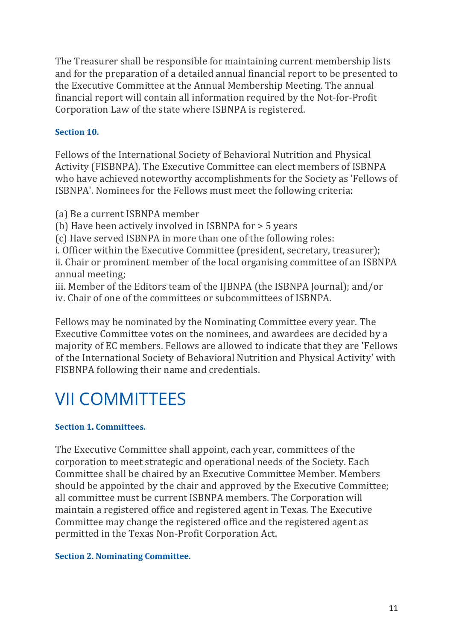The Treasurer shall be responsible for maintaining current membership lists and for the preparation of a detailed annual financial report to be presented to the Executive Committee at the Annual Membership Meeting. The annual financial report will contain all information required by the Not-for-Profit Corporation Law of the state where ISBNPA is registered.

# **Section 10.**

Fellows of the International Society of Behavioral Nutrition and Physical Activity (FISBNPA). The Executive Committee can elect members of ISBNPA who have achieved noteworthy accomplishments for the Society as 'Fellows of ISBNPA'. Nominees for the Fellows must meet the following criteria:

(a) Be a current ISBNPA member

(b) Have been actively involved in ISBNPA for  $>$  5 years

(c) Have served ISBNPA in more than one of the following roles:

i. Officer within the Executive Committee (president, secretary, treasurer); ii. Chair or prominent member of the local organising committee of an ISBNPA annual meeting;

iii. Member of the Editors team of the IJBNPA (the ISBNPA Journal); and/or iv. Chair of one of the committees or subcommittees of ISBNPA.

Fellows may be nominated by the Nominating Committee every year. The Executive Committee votes on the nominees, and awardees are decided by a majority of EC members. Fellows are allowed to indicate that they are 'Fellows of the International Society of Behavioral Nutrition and Physical Activity' with FISBNPA following their name and credentials.

# VII COMMITTEES

## **Section 1. Committees.**

The Executive Committee shall appoint, each year, committees of the corporation to meet strategic and operational needs of the Society. Each Committee shall be chaired by an Executive Committee Member. Members should be appointed by the chair and approved by the Executive Committee; all committee must be current ISBNPA members. The Corporation will maintain a registered office and registered agent in Texas. The Executive Committee may change the registered office and the registered agent as permitted in the Texas Non-Profit Corporation Act.

## **Section 2. Nominating Committee.**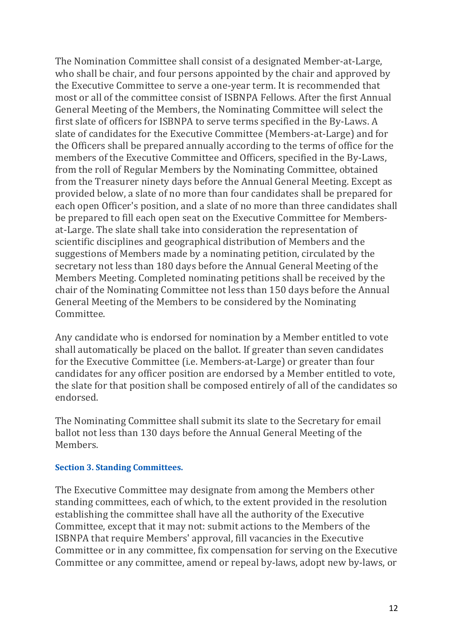The Nomination Committee shall consist of a designated Member-at-Large, who shall be chair, and four persons appointed by the chair and approved by the Executive Committee to serve a one-year term. It is recommended that most or all of the committee consist of ISBNPA Fellows. After the first Annual General Meeting of the Members, the Nominating Committee will select the first slate of officers for ISBNPA to serve terms specified in the By-Laws. A slate of candidates for the Executive Committee (Members-at-Large) and for the Officers shall be prepared annually according to the terms of office for the members of the Executive Committee and Officers, specified in the By-Laws, from the roll of Regular Members by the Nominating Committee, obtained from the Treasurer ninety days before the Annual General Meeting. Except as provided below, a slate of no more than four candidates shall be prepared for each open Officer's position, and a slate of no more than three candidates shall be prepared to fill each open seat on the Executive Committee for Membersat-Large. The slate shall take into consideration the representation of scientific disciplines and geographical distribution of Members and the suggestions of Members made by a nominating petition, circulated by the secretary not less than 180 days before the Annual General Meeting of the Members Meeting. Completed nominating petitions shall be received by the chair of the Nominating Committee not less than 150 days before the Annual General Meeting of the Members to be considered by the Nominating Committee.

Any candidate who is endorsed for nomination by a Member entitled to vote shall automatically be placed on the ballot. If greater than seven candidates for the Executive Committee (i.e. Members-at-Large) or greater than four candidates for any officer position are endorsed by a Member entitled to vote, the slate for that position shall be composed entirely of all of the candidates so endorsed.

The Nominating Committee shall submit its slate to the Secretary for email ballot not less than 130 days before the Annual General Meeting of the Members.

#### **Section 3. Standing Committees.**

The Executive Committee may designate from among the Members other standing committees, each of which, to the extent provided in the resolution establishing the committee shall have all the authority of the Executive Committee, except that it may not: submit actions to the Members of the ISBNPA that require Members' approval, fill vacancies in the Executive Committee or in any committee, fix compensation for serving on the Executive Committee or any committee, amend or repeal by-laws, adopt new by-laws, or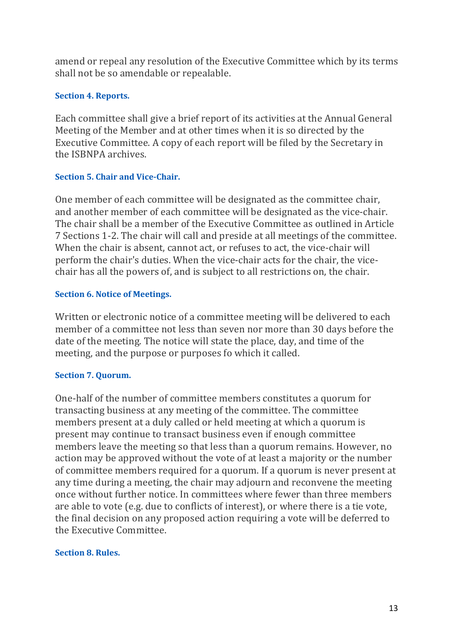amend or repeal any resolution of the Executive Committee which by its terms shall not be so amendable or repealable.

## **Section 4. Reports.**

Each committee shall give a brief report of its activities at the Annual General Meeting of the Member and at other times when it is so directed by the Executive Committee. A copy of each report will be filed by the Secretary in the ISBNPA archives.

#### **Section 5. Chair and Vice-Chair.**

One member of each committee will be designated as the committee chair, and another member of each committee will be designated as the vice-chair. The chair shall be a member of the Executive Committee as outlined in Article 7 Sections 1-2. The chair will call and preside at all meetings of the committee. When the chair is absent, cannot act, or refuses to act, the vice-chair will perform the chair's duties. When the vice-chair acts for the chair, the vicechair has all the powers of, and is subject to all restrictions on, the chair.

#### **Section 6. Notice of Meetings.**

Written or electronic notice of a committee meeting will be delivered to each member of a committee not less than seven nor more than 30 days before the date of the meeting. The notice will state the place, day, and time of the meeting, and the purpose or purposes fo which it called.

## **Section 7. Quorum.**

One-half of the number of committee members constitutes a quorum for transacting business at any meeting of the committee. The committee members present at a duly called or held meeting at which a quorum is present may continue to transact business even if enough committee members leave the meeting so that less than a quorum remains. However, no action may be approved without the vote of at least a majority or the number of committee members required for a quorum. If a quorum is never present at any time during a meeting, the chair may adjourn and reconvene the meeting once without further notice. In committees where fewer than three members are able to vote (e.g. due to conflicts of interest), or where there is a tie vote, the final decision on any proposed action requiring a vote will be deferred to the Executive Committee.

## **Section 8. Rules.**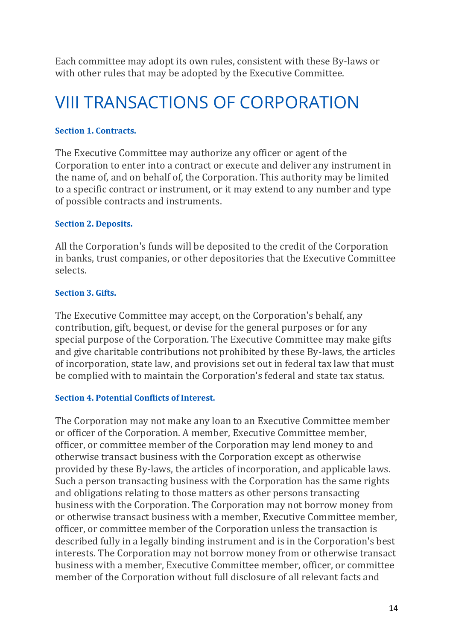Each committee may adopt its own rules, consistent with these By-laws or with other rules that may be adopted by the Executive Committee.

# VIII TRANSACTIONS OF CORPORATION

#### **Section 1. Contracts.**

The Executive Committee may authorize any officer or agent of the Corporation to enter into a contract or execute and deliver any instrument in the name of, and on behalf of, the Corporation. This authority may be limited to a specific contract or instrument, or it may extend to any number and type of possible contracts and instruments.

#### **Section 2. Deposits.**

All the Corporation's funds will be deposited to the credit of the Corporation in banks, trust companies, or other depositories that the Executive Committee selects.

#### **Section 3. Gifts.**

The Executive Committee may accept, on the Corporation's behalf, any contribution, gift, bequest, or devise for the general purposes or for any special purpose of the Corporation. The Executive Committee may make gifts and give charitable contributions not prohibited by these By-laws, the articles of incorporation, state law, and provisions set out in federal tax law that must be complied with to maintain the Corporation's federal and state tax status.

#### **Section 4. Potential Conflicts of Interest.**

The Corporation may not make any loan to an Executive Committee member or officer of the Corporation. A member, Executive Committee member, officer, or committee member of the Corporation may lend money to and otherwise transact business with the Corporation except as otherwise provided by these By-laws, the articles of incorporation, and applicable laws. Such a person transacting business with the Corporation has the same rights and obligations relating to those matters as other persons transacting business with the Corporation. The Corporation may not borrow money from or otherwise transact business with a member, Executive Committee member, officer, or committee member of the Corporation unless the transaction is described fully in a legally binding instrument and is in the Corporation's best interests. The Corporation may not borrow money from or otherwise transact business with a member, Executive Committee member, officer, or committee member of the Corporation without full disclosure of all relevant facts and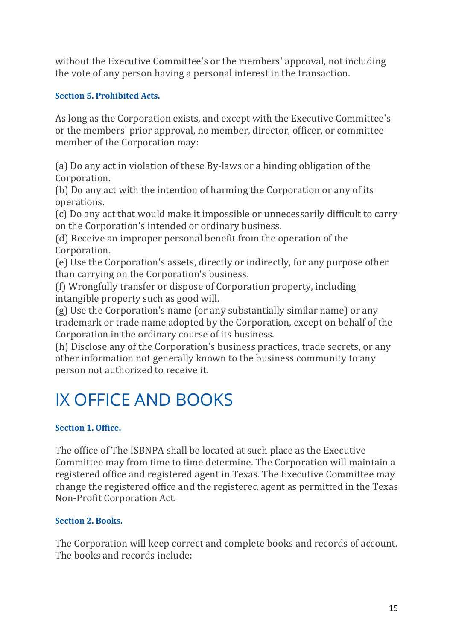without the Executive Committee's or the members' approval, not including the vote of any person having a personal interest in the transaction.

# **Section 5. Prohibited Acts.**

As long as the Corporation exists, and except with the Executive Committee's or the members' prior approval, no member, director, officer, or committee member of the Corporation may:

(a) Do any act in violation of these By-laws or a binding obligation of the Corporation.

(b) Do any act with the intention of harming the Corporation or any of its operations.

(c) Do any act that would make it impossible or unnecessarily difficult to carry on the Corporation's intended or ordinary business.

(d) Receive an improper personal benefit from the operation of the Corporation.

(e) Use the Corporation's assets, directly or indirectly, for any purpose other than carrying on the Corporation's business.

(f) Wrongfully transfer or dispose of Corporation property, including intangible property such as good will.

 $(g)$  Use the Corporation's name (or any substantially similar name) or any trademark or trade name adopted by the Corporation, except on behalf of the Corporation in the ordinary course of its business.

(h) Disclose any of the Corporation's business practices, trade secrets, or any other information not generally known to the business community to any person not authorized to receive it.

# IX OFFICE AND BOOKS

## **Section 1. Office.**

The office of The ISBNPA shall be located at such place as the Executive Committee may from time to time determine. The Corporation will maintain a registered office and registered agent in Texas. The Executive Committee may change the registered office and the registered agent as permitted in the Texas Non-Profit Corporation Act.

## **Section 2. Books.**

The Corporation will keep correct and complete books and records of account. The books and records include: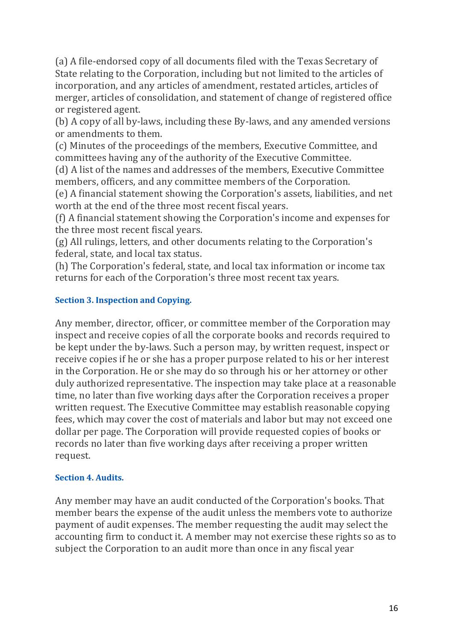(a) A file-endorsed copy of all documents filed with the Texas Secretary of State relating to the Corporation, including but not limited to the articles of incorporation, and any articles of amendment, restated articles, articles of merger, articles of consolidation, and statement of change of registered office or registered agent.

(b) A copy of all by-laws, including these By-laws, and any amended versions or amendments to them.

(c) Minutes of the proceedings of the members, Executive Committee, and committees having any of the authority of the Executive Committee.

(d) A list of the names and addresses of the members, Executive Committee members, officers, and any committee members of the Corporation.

(e) A financial statement showing the Corporation's assets, liabilities, and net worth at the end of the three most recent fiscal years.

(f) A financial statement showing the Corporation's income and expenses for the three most recent fiscal years.

(g) All rulings, letters, and other documents relating to the Corporation's federal, state, and local tax status.

(h) The Corporation's federal, state, and local tax information or income tax returns for each of the Corporation's three most recent tax years.

# **Section 3. Inspection and Copying.**

Any member, director, officer, or committee member of the Corporation may inspect and receive copies of all the corporate books and records required to be kept under the by-laws. Such a person may, by written request, inspect or receive copies if he or she has a proper purpose related to his or her interest in the Corporation. He or she may do so through his or her attorney or other duly authorized representative. The inspection may take place at a reasonable time, no later than five working days after the Corporation receives a proper written request. The Executive Committee may establish reasonable copying fees, which may cover the cost of materials and labor but may not exceed one dollar per page. The Corporation will provide requested copies of books or records no later than five working days after receiving a proper written request.

# **Section 4. Audits.**

Any member may have an audit conducted of the Corporation's books. That member bears the expense of the audit unless the members vote to authorize payment of audit expenses. The member requesting the audit may select the accounting firm to conduct it. A member may not exercise these rights so as to subject the Corporation to an audit more than once in any fiscal year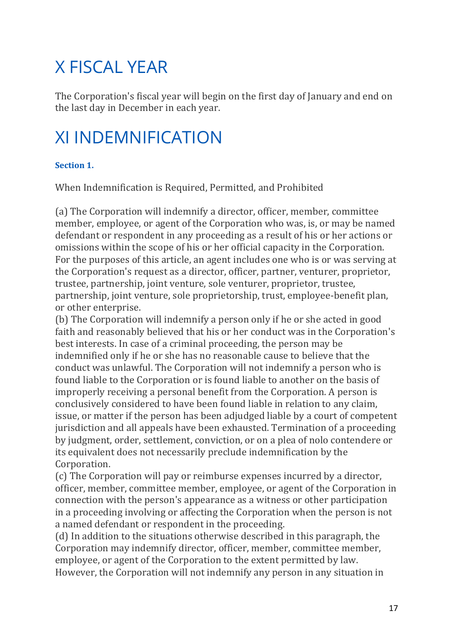# X FISCAL YEAR

The Corporation's fiscal vear will begin on the first day of January and end on the last day in December in each year.

# XI INDEMNIFICATION

# **Section 1**

When Indemnification is Required, Permitted, and Prohibited

(a) The Corporation will indemnify a director, officer, member, committee member, employee, or agent of the Corporation who was, is, or may be named defendant or respondent in any proceeding as a result of his or her actions or omissions within the scope of his or her official capacity in the Corporation. For the purposes of this article, an agent includes one who is or was serving at the Corporation's request as a director, officer, partner, venturer, proprietor, trustee, partnership, joint venture, sole venturer, proprietor, trustee, partnership, joint venture, sole proprietorship, trust, employee-benefit plan, or other enterprise.

(b) The Corporation will indemnify a person only if he or she acted in good faith and reasonably believed that his or her conduct was in the Corporation's best interests. In case of a criminal proceeding, the person may be indemnified only if he or she has no reasonable cause to believe that the conduct was unlawful. The Corporation will not indemnify a person who is found liable to the Corporation or is found liable to another on the basis of improperly receiving a personal benefit from the Corporation. A person is conclusively considered to have been found liable in relation to any claim, issue, or matter if the person has been adjudged liable by a court of competent jurisdiction and all appeals have been exhausted. Termination of a proceeding by judgment, order, settlement, conviction, or on a plea of nolo contendere or its equivalent does not necessarily preclude indemnification by the Corporation.

(c) The Corporation will pay or reimburse expenses incurred by a director, officer, member, committee member, employee, or agent of the Corporation in connection with the person's appearance as a witness or other participation in a proceeding involving or affecting the Corporation when the person is not a named defendant or respondent in the proceeding.

(d) In addition to the situations otherwise described in this paragraph, the Corporation may indemnify director, officer, member, committee member, employee, or agent of the Corporation to the extent permitted by law. However, the Corporation will not indemnify any person in any situation in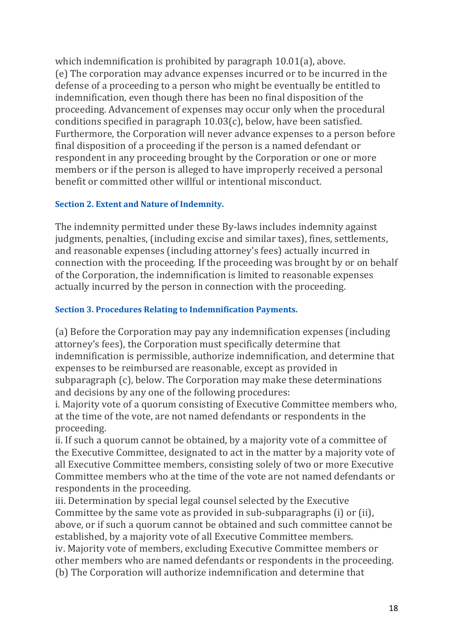which indemnification is prohibited by paragraph  $10.01(a)$ , above. (e) The corporation may advance expenses incurred or to be incurred in the defense of a proceeding to a person who might be eventually be entitled to indemnification, even though there has been no final disposition of the proceeding. Advancement of expenses may occur only when the procedural conditions specified in paragraph  $10.03(c)$ , below, have been satisfied. Furthermore, the Corporation will never advance expenses to a person before final disposition of a proceeding if the person is a named defendant or respondent in any proceeding brought by the Corporation or one or more members or if the person is alleged to have improperly received a personal benefit or committed other willful or intentional misconduct.

# **Section 2. Extent and Nature of Indemnity.**

The indemnity permitted under these By-laws includes indemnity against judgments, penalties, (including excise and similar taxes), fines, settlements, and reasonable expenses (including attorney's fees) actually incurred in connection with the proceeding. If the proceeding was brought by or on behalf of the Corporation, the indemnification is limited to reasonable expenses actually incurred by the person in connection with the proceeding.

# **Section 3. Procedures Relating to Indemnification Payments.**

(a) Before the Corporation may pay any indemnification expenses (including attorney's fees), the Corporation must specifically determine that indemnification is permissible, authorize indemnification, and determine that expenses to be reimbursed are reasonable, except as provided in subparagraph (c), below. The Corporation may make these determinations and decisions by any one of the following procedures:

i. Majority vote of a quorum consisting of Executive Committee members who, at the time of the vote, are not named defendants or respondents in the proceeding.

ii. If such a quorum cannot be obtained, by a majority vote of a committee of the Executive Committee, designated to act in the matter by a majority vote of all Executive Committee members, consisting solely of two or more Executive Committee members who at the time of the vote are not named defendants or respondents in the proceeding.

iii. Determination by special legal counsel selected by the Executive Committee by the same vote as provided in sub-subparagraphs (i) or (ii), above, or if such a quorum cannot be obtained and such committee cannot be established, by a majority vote of all Executive Committee members. iv. Majority vote of members, excluding Executive Committee members or other members who are named defendants or respondents in the proceeding. (b) The Corporation will authorize indemnification and determine that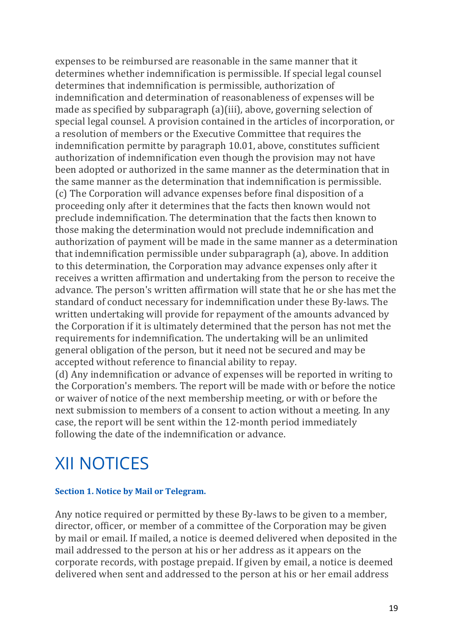expenses to be reimbursed are reasonable in the same manner that it determines whether indemnification is permissible. If special legal counsel determines that indemnification is permissible, authorization of indemnification and determination of reasonableness of expenses will be made as specified by subparagraph  $(a)(iii)$ , above, governing selection of special legal counsel. A provision contained in the articles of incorporation, or a resolution of members or the Executive Committee that requires the indemnification permitte by paragraph 10.01, above, constitutes sufficient authorization of indemnification even though the provision may not have been adopted or authorized in the same manner as the determination that in the same manner as the determination that indemnification is permissible. (c) The Corporation will advance expenses before final disposition of a proceeding only after it determines that the facts then known would not preclude indemnification. The determination that the facts then known to those making the determination would not preclude indemnification and authorization of payment will be made in the same manner as a determination that indemnification permissible under subparagraph (a), above. In addition to this determination, the Corporation may advance expenses only after it receives a written affirmation and undertaking from the person to receive the advance. The person's written affirmation will state that he or she has met the standard of conduct necessary for indemnification under these By-laws. The written undertaking will provide for repayment of the amounts advanced by the Corporation if it is ultimately determined that the person has not met the requirements for indemnification. The undertaking will be an unlimited general obligation of the person, but it need not be secured and may be accepted without reference to financial ability to repay.

(d) Any indemnification or advance of expenses will be reported in writing to the Corporation's members. The report will be made with or before the notice or waiver of notice of the next membership meeting, or with or before the next submission to members of a consent to action without a meeting. In any case, the report will be sent within the 12-month period immediately following the date of the indemnification or advance.

# XII NOTICES

## **Section 1. Notice by Mail or Telegram.**

Any notice required or permitted by these By-laws to be given to a member, director, officer, or member of a committee of the Corporation may be given by mail or email. If mailed, a notice is deemed delivered when deposited in the mail addressed to the person at his or her address as it appears on the corporate records, with postage prepaid. If given by email, a notice is deemed delivered when sent and addressed to the person at his or her email address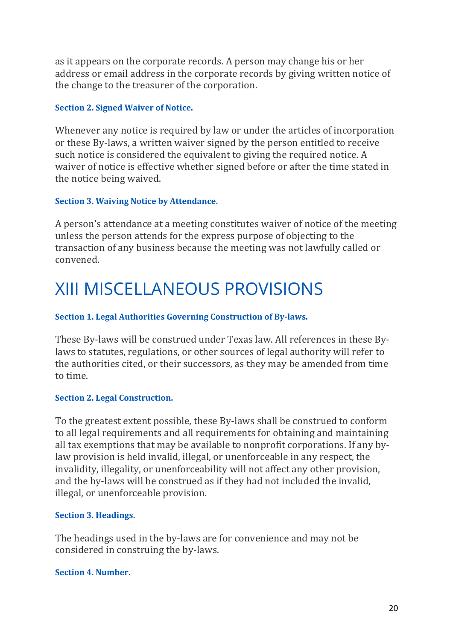as it appears on the corporate records. A person may change his or her address or email address in the corporate records by giving written notice of the change to the treasurer of the corporation.

#### **Section 2. Signed Waiver of Notice.**

Whenever any notice is required by law or under the articles of incorporation or these By-laws, a written waiver signed by the person entitled to receive such notice is considered the equivalent to giving the required notice. A waiver of notice is effective whether signed before or after the time stated in the notice being waived.

#### **Section 3. Waiving Notice by Attendance.**

A person's attendance at a meeting constitutes waiver of notice of the meeting unless the person attends for the express purpose of objecting to the transaction of any business because the meeting was not lawfully called or convened.

# XIII MISCELLANEOUS PROVISIONS

## **Section 1. Legal Authorities Governing Construction of By-laws.**

These By-laws will be construed under Texas law. All references in these Bylaws to statutes, regulations, or other sources of legal authority will refer to the authorities cited, or their successors, as they may be amended from time to time.

#### **Section 2. Legal Construction.**

To the greatest extent possible, these By-laws shall be construed to conform to all legal requirements and all requirements for obtaining and maintaining all tax exemptions that may be available to nonprofit corporations. If any bylaw provision is held invalid, illegal, or unenforceable in any respect, the invalidity, illegality, or unenforceability will not affect any other provision, and the by-laws will be construed as if they had not included the invalid, illegal, or unenforceable provision.

#### **Section 3. Headings.**

The headings used in the by-laws are for convenience and may not be considered in construing the by-laws.

#### **Section 4. Number.**